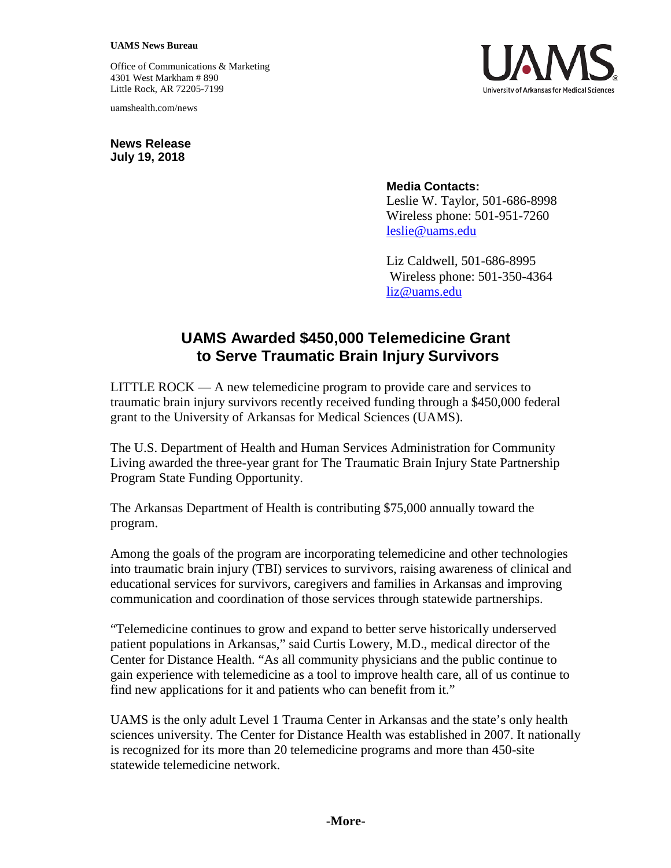## **UAMS News Bureau**

Office of Communications & Marketing 4301 West Markham # 890 Little Rock, AR 72205-7199

uamshealth.com/news



**News Release July 19, 2018**

## **Media Contacts:**

Leslie W. Taylor, 501-686-8998 Wireless phone: 501-951-7260 [leslie@uams.edu](mailto:leslie@uams.edu)

Liz Caldwell, 501-686-8995 Wireless phone: 501-350-4364 [liz@uams.edu](mailto:liz@uams.edu)

## **UAMS Awarded \$450,000 Telemedicine Grant to Serve Traumatic Brain Injury Survivors**

LITTLE ROCK — A new telemedicine program to provide care and services to traumatic brain injury survivors recently received funding through a \$450,000 federal grant to the University of Arkansas for Medical Sciences (UAMS).

The U.S. Department of Health and Human Services Administration for Community Living awarded the three-year grant for The Traumatic Brain Injury State Partnership Program State Funding Opportunity.

The Arkansas Department of Health is contributing \$75,000 annually toward the program.

Among the goals of the program are incorporating telemedicine and other technologies into traumatic brain injury (TBI) services to survivors, raising awareness of clinical and educational services for survivors, caregivers and families in Arkansas and improving communication and coordination of those services through statewide partnerships.

"Telemedicine continues to grow and expand to better serve historically underserved patient populations in Arkansas," said Curtis Lowery, M.D., medical director of the Center for Distance Health. "As all community physicians and the public continue to gain experience with telemedicine as a tool to improve health care, all of us continue to find new applications for it and patients who can benefit from it."

UAMS is the only adult Level 1 Trauma Center in Arkansas and the state's only health sciences university. The Center for Distance Health was established in 2007. It nationally is recognized for its more than 20 telemedicine programs and more than 450-site statewide telemedicine network.